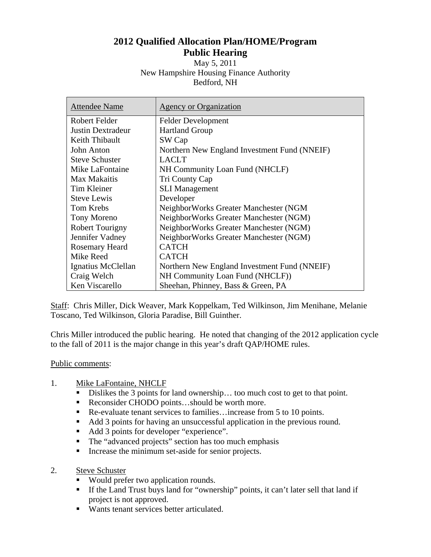## **2012 Qualified Allocation Plan/HOME/Program Public Hearing**

May 5, 2011 New Hampshire Housing Finance Authority Bedford, NH

| <b>Attendee Name</b>     | Agency or Organization                       |
|--------------------------|----------------------------------------------|
| Robert Felder            | <b>Felder Development</b>                    |
| <b>Justin Dextradeur</b> | <b>Hartland Group</b>                        |
| Keith Thibault           | SW Cap                                       |
| John Anton               | Northern New England Investment Fund (NNEIF) |
| <b>Steve Schuster</b>    | <b>LACLT</b>                                 |
| Mike LaFontaine          | NH Community Loan Fund (NHCLF)               |
| Max Makaitis             | Tri County Cap                               |
| <b>Tim Kleiner</b>       | <b>SLI</b> Management                        |
| <b>Steve Lewis</b>       | Developer                                    |
| <b>Tom Krebs</b>         | NeighborWorks Greater Manchester (NGM        |
| Tony Moreno              | NeighborWorks Greater Manchester (NGM)       |
| Robert Tourigny          | NeighborWorks Greater Manchester (NGM)       |
| Jennifer Vadney          | NeighborWorks Greater Manchester (NGM)       |
| <b>Rosemary Heard</b>    | <b>CATCH</b>                                 |
| Mike Reed                | <b>CATCH</b>                                 |
| Ignatius McClellan       | Northern New England Investment Fund (NNEIF) |
| Craig Welch              | NH Community Loan Fund (NHCLF))              |
| Ken Viscarello           | Sheehan, Phinney, Bass & Green, PA           |

Staff: Chris Miller, Dick Weaver, Mark Koppelkam, Ted Wilkinson, Jim Menihane, Melanie Toscano, Ted Wilkinson, Gloria Paradise, Bill Guinther.

Chris Miller introduced the public hearing. He noted that changing of the 2012 application cycle to the fall of 2011 is the major change in this year's draft QAP/HOME rules.

## Public comments:

- 1. Mike LaFontaine, NHCLF
	- Dislikes the 3 points for land ownership... too much cost to get to that point.
	- Reconsider CHODO points...should be worth more.
	- Re-evaluate tenant services to families…increase from 5 to 10 points.
	- Add 3 points for having an unsuccessful application in the previous round.
	- Add 3 points for developer "experience".
	- The "advanced projects" section has too much emphasis
	- Increase the minimum set-aside for senior projects.
- 2. Steve Schuster
	- **Would prefer two application rounds.**
	- If the Land Trust buys land for "ownership" points, it can't later sell that land if project is not approved.
	- Wants tenant services better articulated.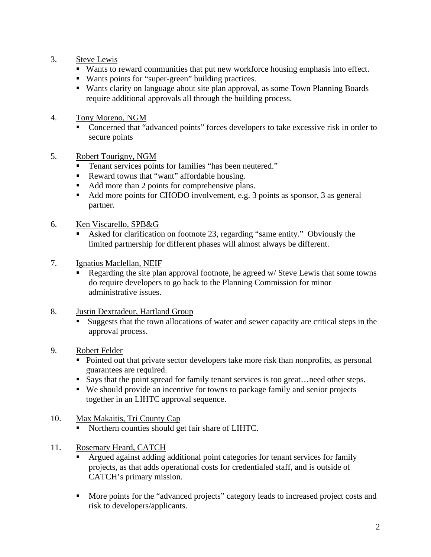- 3. Steve Lewis
	- Wants to reward communities that put new workforce housing emphasis into effect.
	- Wants points for "super-green" building practices.
	- Wants clarity on language about site plan approval, as some Town Planning Boards require additional approvals all through the building process.
- 4. Tony Moreno, NGM
	- Concerned that "advanced points" forces developers to take excessive risk in order to secure points
- 5. Robert Tourigny, NGM
	- Tenant services points for families "has been neutered."
	- Reward towns that "want" affordable housing.
	- Add more than 2 points for comprehensive plans.
	- Add more points for CHODO involvement, e.g. 3 points as sponsor, 3 as general partner.
- 6. Ken Viscarello, SPB&G
	- Asked for clarification on footnote 23, regarding "same entity." Obviously the limited partnership for different phases will almost always be different.
- 7. Ignatius Maclellan, NEIF
	- Regarding the site plan approval footnote, he agreed w/ Steve Lewis that some towns do require developers to go back to the Planning Commission for minor administrative issues.
- 8. Justin Dextradeur, Hartland Group
	- Suggests that the town allocations of water and sewer capacity are critical steps in the approval process.
- 9. Robert Felder
	- Pointed out that private sector developers take more risk than nonprofits, as personal guarantees are required.
	- Says that the point spread for family tenant services is too great... need other steps.
	- We should provide an incentive for towns to package family and senior projects together in an LIHTC approval sequence.
- 10. Max Makaitis, Tri County Cap
	- Northern counties should get fair share of LIHTC.
- 11. Rosemary Heard, CATCH
	- Argued against adding additional point categories for tenant services for family projects, as that adds operational costs for credentialed staff, and is outside of CATCH's primary mission.
	- **More points for the "advanced projects" category leads to increased project costs and** risk to developers/applicants.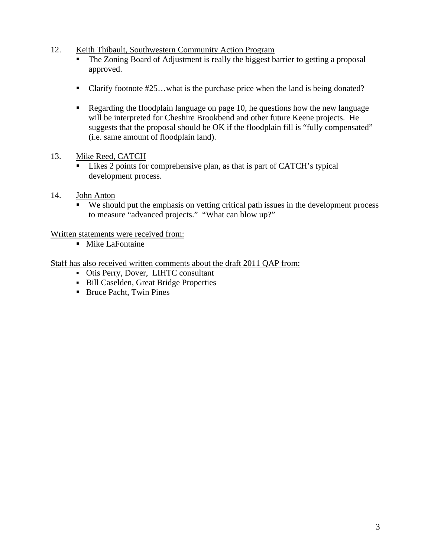- 12. Keith Thibault, Southwestern Community Action Program
	- The Zoning Board of Adjustment is really the biggest barrier to getting a proposal approved.
	- Clarify footnote #25...what is the purchase price when the land is being donated?
	- Regarding the floodplain language on page 10, he questions how the new language will be interpreted for Cheshire Brookbend and other future Keene projects. He suggests that the proposal should be OK if the floodplain fill is "fully compensated" (i.e. same amount of floodplain land).

## 13. Mike Reed, CATCH

- Likes 2 points for comprehensive plan, as that is part of CATCH's typical development process.
- 14. John Anton
	- We should put the emphasis on vetting critical path issues in the development process to measure "advanced projects." "What can blow up?"

Written statements were received from:

**Mike LaFontaine** 

Staff has also received written comments about the draft 2011 QAP from:

- Otis Perry, Dover, LIHTC consultant
- Bill Caselden, Great Bridge Properties
- Bruce Pacht, Twin Pines